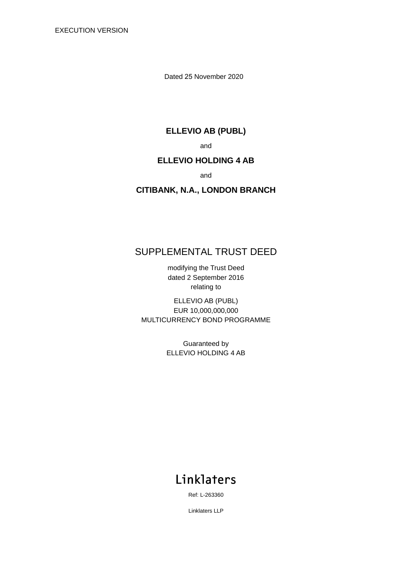EXECUTION VERSION

Dated 25 November 2020

### **ELLEVIO AB (PUBL)**

and

## **ELLEVIO HOLDING 4 AB**

and

# **CITIBANK, N.A., LONDON BRANCH**

# SUPPLEMENTAL TRUST DEED

modifying the Trust Deed dated 2 September 2016 relating to

ELLEVIO AB (PUBL) EUR 10,000,000,000 MULTICURRENCY BOND PROGRAMME

> Guaranteed by ELLEVIO HOLDING 4 AB

# Linklaters

Ref: L-263360

Linklaters LLP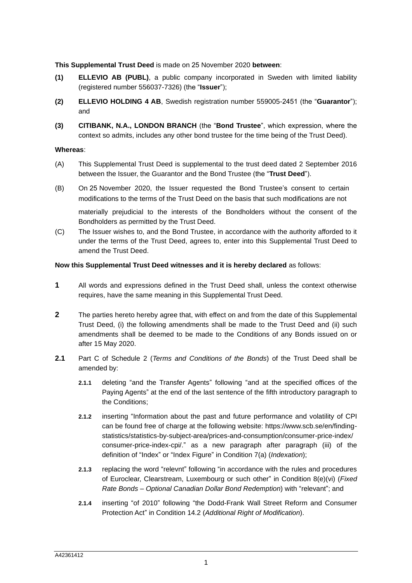**This Supplemental Trust Deed** is made on 25 November 2020 **between**:

- **(1) ELLEVIO AB (PUBL)**, a public company incorporated in Sweden with limited liability (registered number 556037-7326) (the "**Issuer**");
- **(2) ELLEVIO HOLDING 4 AB**, Swedish registration number 559005-2451 (the "**Guarantor**"); and
- **(3) CITIBANK, N.A., LONDON BRANCH** (the "**Bond Trustee**", which expression, where the context so admits, includes any other bond trustee for the time being of the Trust Deed).

#### **Whereas**:

- (A) This Supplemental Trust Deed is supplemental to the trust deed dated 2 September 2016 between the Issuer, the Guarantor and the Bond Trustee (the "**Trust Deed**").
- (B) On 25 November 2020, the Issuer requested the Bond Trustee's consent to certain modifications to the terms of the Trust Deed on the basis that such modifications are not

materially prejudicial to the interests of the Bondholders without the consent of the Bondholders as permitted by the Trust Deed.

(C) The Issuer wishes to, and the Bond Trustee, in accordance with the authority afforded to it under the terms of the Trust Deed, agrees to, enter into this Supplemental Trust Deed to amend the Trust Deed.

### **Now this Supplemental Trust Deed witnesses and it is hereby declared** as follows:

- **1** All words and expressions defined in the Trust Deed shall, unless the context otherwise requires, have the same meaning in this Supplemental Trust Deed.
- **2** The parties hereto hereby agree that, with effect on and from the date of this Supplemental Trust Deed, (i) the following amendments shall be made to the Trust Deed and (ii) such amendments shall be deemed to be made to the Conditions of any Bonds issued on or after 15 May 2020.
- **2.1** Part C of Schedule 2 (*Terms and Conditions of the Bonds*) of the Trust Deed shall be amended by:
	- **2.1.1** deleting "and the Transfer Agents" following "and at the specified offices of the Paying Agents" at the end of the last sentence of the fifth introductory paragraph to the Conditions;
	- **2.1.2** inserting "Information about the past and future performance and volatility of CPI can be found free of charge at the following website: https://www.scb.se/en/findingstatistics/statistics-by-subject-area/prices-and-consumption/consumer-price-index/ consumer-price-index-cpi/." as a new paragraph after paragraph (iii) of the definition of "Index" or "Index Figure" in Condition 7(a) (*Indexation*);
	- **2.1.3** replacing the word "relevnt" following "in accordance with the rules and procedures of Euroclear, Clearstream, Luxembourg or such other" in Condition 8(e)(vi) (*Fixed Rate Bonds – Optional Canadian Dollar Bond Redemption*) with "relevant"; and
	- **2.1.4** inserting "of 2010" following "the Dodd-Frank Wall Street Reform and Consumer Protection Act" in Condition 14.2 (*Additional Right of Modification*).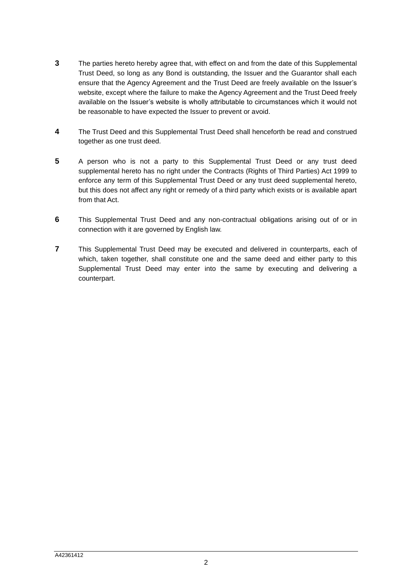- **3** The parties hereto hereby agree that, with effect on and from the date of this Supplemental Trust Deed, so long as any Bond is outstanding, the Issuer and the Guarantor shall each ensure that the Agency Agreement and the Trust Deed are freely available on the Issuer's website, except where the failure to make the Agency Agreement and the Trust Deed freely available on the Issuer's website is wholly attributable to circumstances which it would not be reasonable to have expected the Issuer to prevent or avoid.
- **4** The Trust Deed and this Supplemental Trust Deed shall henceforth be read and construed together as one trust deed.
- **5** A person who is not a party to this Supplemental Trust Deed or any trust deed supplemental hereto has no right under the Contracts (Rights of Third Parties) Act 1999 to enforce any term of this Supplemental Trust Deed or any trust deed supplemental hereto, but this does not affect any right or remedy of a third party which exists or is available apart from that Act.
- **6** This Supplemental Trust Deed and any non-contractual obligations arising out of or in connection with it are governed by English law.
- **7** This Supplemental Trust Deed may be executed and delivered in counterparts, each of which, taken together, shall constitute one and the same deed and either party to this Supplemental Trust Deed may enter into the same by executing and delivering a counterpart.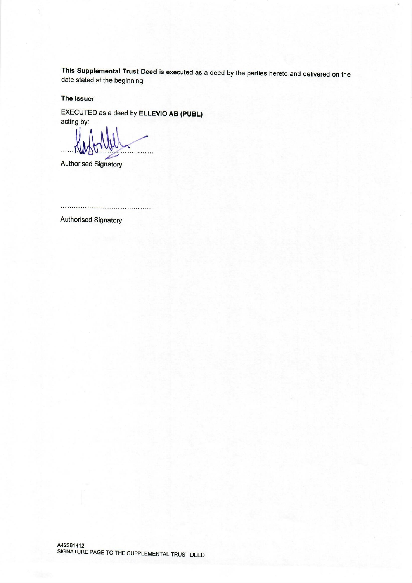This Supplemental Trust Deed is executed as a deed by the parties hereto and delivered on the date stated at the beginning

The Issuer

EXECUTED as a deed by ELLEVIO AB (PUBL) acting by:

Authorised Signatory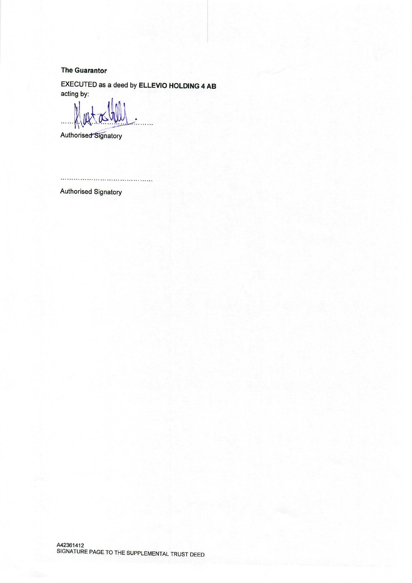### **The Guarantor**

EXECUTED as a deed by ELLEVIO HOLDING 4 AB acting by:

 $\wedge$ 

Authorised Signatory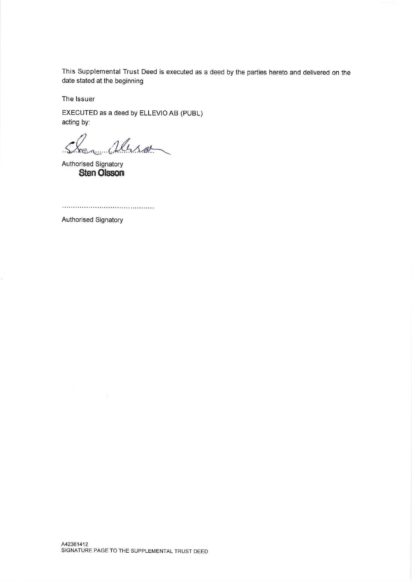This Supplemental Trust Deed is executed as a deed by the parties hereto and delivered on the date stated at the beginning

The Issuer

EXECUTED as a deed by ELLEVIO AB (PUBL) acting by:

abro

Authorised Signatory **Sten Olsson**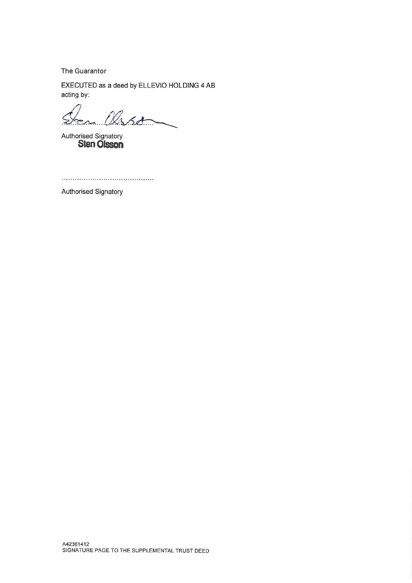The Guarantor

EXECUTED as a deed by ELLEVIO HOLDING 4 AB acting by:

en Olsson  $\ddot{\mathcal{L}}$ 

Authorised Signatory<br>**Sten Olsson**